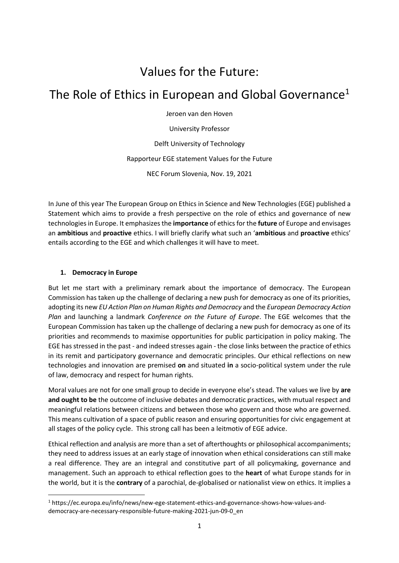# Values for the Future:

# The Role of Ethics in European and Global Governance<sup>1</sup>

Jeroen van den Hoven

University Professor

Delft University of Technology

Rapporteur EGE statement Values for the Future

NEC Forum Slovenia, Nov. 19, 2021

In June of this year The European Group on Ethics in Science and New Technologies (EGE) published a Statement which aims to provide a fresh perspective on the role of ethics and governance of new technologiesin Europe. It emphasizes the **importance** of ethics for the **future** of Europe and envisages an **ambitious** and **proactive** ethics. I will briefly clarify what such an '**ambitious** and **proactive** ethics' entails according to the EGE and which challenges it will have to meet.

#### **1. Democracy in Europe**

1

But let me start with a preliminary remark about the importance of democracy. The European Commission has taken up the challenge of declaring a new push for democracy as one of its priorities, adopting its new *EU Action Plan on Human Rights and Democracy* and the *European Democracy Action Plan* and launching a landmark *Conference on the Future of Europe*. The EGE welcomes that the European Commission has taken up the challenge of declaring a new push for democracy as one of its priorities and recommends to maximise opportunities for public participation in policy making. The EGE has stressed in the past - and indeed stresses again - the close links between the practice of ethics in its remit and participatory governance and democratic principles. Our ethical reflections on new technologies and innovation are premised **on** and situated **in** a socio-political system under the rule of law, democracy and respect for human rights.

Moral values are not for one small group to decide in everyone else's stead. The values we live by **are and ought to be** the outcome of inclusive debates and democratic practices, with mutual respect and meaningful relations between citizens and between those who govern and those who are governed. This means cultivation of a space of public reason and ensuring opportunities for civic engagement at all stages of the policy cycle. This strong call has been a leitmotiv of EGE advice.

Ethical reflection and analysis are more than a set of afterthoughts or philosophical accompaniments; they need to address issues at an early stage of innovation when ethical considerations can still make a real difference. They are an integral and constitutive part of all policymaking, governance and management. Such an approach to ethical reflection goes to the **heart** of what Europe stands for in the world, but it is the **contrary** of a parochial, de-globalised or nationalist view on ethics. It implies a

<sup>1</sup> https://ec.europa.eu/info/news/new-ege-statement-ethics-and-governance-shows-how-values-anddemocracy-are-necessary-responsible-future-making-2021-jun-09-0\_en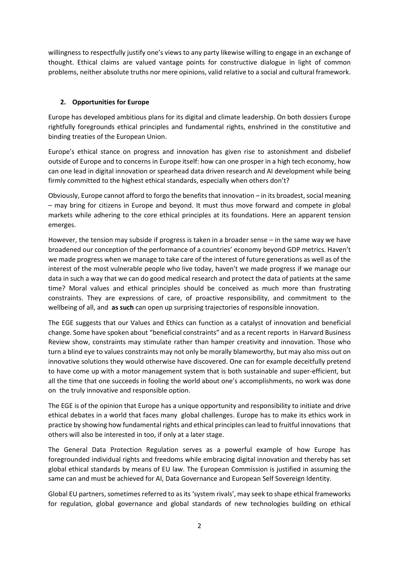willingness to respectfully justify one's views to any party likewise willing to engage in an exchange of thought. Ethical claims are valued vantage points for constructive dialogue in light of common problems, neither absolute truths nor mere opinions, valid relative to a social and cultural framework.

### **2. Opportunities for Europe**

Europe has developed ambitious plans for its digital and climate leadership. On both dossiers Europe rightfully foregrounds ethical principles and fundamental rights, enshrined in the constitutive and binding treaties of the European Union.

Europe's ethical stance on progress and innovation has given rise to astonishment and disbelief outside of Europe and to concerns in Europe itself: how can one prosper in a high tech economy, how can one lead in digital innovation or spearhead data driven research and AI development while being firmly committed to the highest ethical standards, especially when others don't?

Obviously, Europe cannot afford to forgo the benefits that innovation – in its broadest, social meaning – may bring for citizens in Europe and beyond. It must thus move forward and compete in global markets while adhering to the core ethical principles at its foundations. Here an apparent tension emerges.

However, the tension may subside if progress is taken in a broader sense – in the same way we have broadened our conception of the performance of a countries' economy beyond GDP metrics. Haven't we made progress when we manage to take care of the interest of future generations as well as of the interest of the most vulnerable people who live today, haven't we made progress if we manage our data in such a way that we can do good medical research and protect the data of patients at the same time? Moral values and ethical principles should be conceived as much more than frustrating constraints. They are expressions of care, of proactive responsibility, and commitment to the wellbeing of all, and **as such** can open up surprising trajectories of responsible innovation.

The EGE suggests that our Values and Ethics can function as a catalyst of innovation and beneficial change. Some have spoken about "beneficial constraints" and as a recent reports in Harvard Business Review show, constraints may stimulate rather than hamper creativity and innovation. Those who turn a blind eye to values constraints may not only be morally blameworthy, but may also miss out on innovative solutions they would otherwise have discovered. One can for example deceitfully pretend to have come up with a motor management system that is both sustainable and super-efficient, but all the time that one succeeds in fooling the world about one's accomplishments, no work was done on the truly innovative and responsible option.

The EGE is of the opinion that Europe has a unique opportunity and responsibility to initiate and drive ethical debates in a world that faces many global challenges. Europe has to make its ethics work in practice by showing how fundamental rights and ethical principles can lead to fruitful innovations that others will also be interested in too, if only at a later stage.

The General Data Protection Regulation serves as a powerful example of how Europe has foregrounded individual rights and freedoms while embracing digital innovation and thereby has set global ethical standards by means of EU law. The European Commission is justified in assuming the same can and must be achieved for AI, Data Governance and European Self Sovereign Identity.

Global EU partners, sometimes referred to as its 'system rivals', may seek to shape ethical frameworks for regulation, global governance and global standards of new technologies building on ethical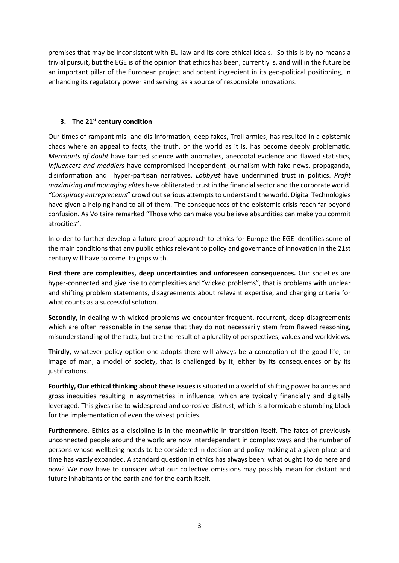premises that may be inconsistent with EU law and its core ethical ideals. So this is by no means a trivial pursuit, but the EGE is of the opinion that ethics has been, currently is, and will in the future be an important pillar of the European project and potent ingredient in its geo-political positioning, in enhancing its regulatory power and serving as a source of responsible innovations.

### **3. The 21st century condition**

Our times of rampant mis- and dis-information, deep fakes, Troll armies, has resulted in a epistemic chaos where an appeal to facts, the truth, or the world as it is, has become deeply problematic. *Merchants of doubt* have tainted science with anomalies, anecdotal evidence and flawed statistics, *Influencers and meddlers* have compromised independent journalism with fake news, propaganda, disinformation and hyper-partisan narratives. *Lobbyist* have undermined trust in politics. *Profit maximizing and managing elites* have obliterated trust in the financial sector and the corporate world. *"Conspiracy entrepreneurs*" crowd out serious attempts to understand the world. Digital Technologies have given a helping hand to all of them. The consequences of the epistemic crisis reach far beyond confusion. As Voltaire remarked "Those who can make you believe absurdities can make you commit atrocities".

In order to further develop a future proof approach to ethics for Europe the EGE identifies some of the main conditions that any public ethics relevant to policy and governance of innovation in the 21st century will have to come to grips with.

**First there are complexities, deep uncertainties and unforeseen consequences.** Our societies are hyper-connected and give rise to complexities and "wicked problems", that is problems with unclear and shifting problem statements, disagreements about relevant expertise, and changing criteria for what counts as a successful solution.

**Secondly,** in dealing with wicked problems we encounter frequent, recurrent, deep disagreements which are often reasonable in the sense that they do not necessarily stem from flawed reasoning, misunderstanding of the facts, but are the result of a plurality of perspectives, values and worldviews.

**Thirdly,** whatever policy option one adopts there will always be a conception of the good life, an image of man, a model of society, that is challenged by it, either by its consequences or by its justifications.

**Fourthly, Our ethical thinking about these issues** is situated in a world of shifting power balances and gross inequities resulting in asymmetries in influence, which are typically financially and digitally leveraged. This gives rise to widespread and corrosive distrust, which is a formidable stumbling block for the implementation of even the wisest policies.

**Furthermore**, Ethics as a discipline is in the meanwhile in transition itself. The fates of previously unconnected people around the world are now interdependent in complex ways and the number of persons whose wellbeing needs to be considered in decision and policy making at a given place and time has vastly expanded. A standard question in ethics has always been: what ought I to do here and now? We now have to consider what our collective omissions may possibly mean for distant and future inhabitants of the earth and for the earth itself.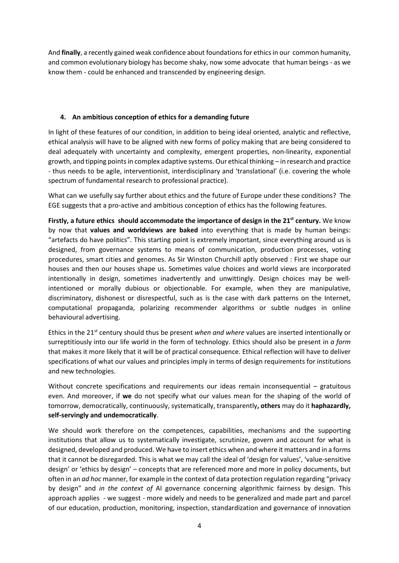And **finally**, a recently gained weak confidence about foundationsfor ethics in our common humanity, and common evolutionary biology has become shaky, now some advocate that human beings - as we know them - could be enhanced and transcended by engineering design.

## **4. An ambitious conception of ethics for a demanding future**

In light of these features of our condition, in addition to being ideal oriented, analytic and reflective, ethical analysis will have to be aligned with new forms of policy making that are being considered to deal adequately with uncertainty and complexity, emergent properties, non-linearity, exponential growth, and tipping pointsin complex adaptive systems. Our ethical thinking – in research and practice - thus needs to be agile, interventionist, interdisciplinary and 'translational' (i.e. covering the whole spectrum of fundamental research to professional practice).

What can we usefully say further about ethics and the future of Europe under these conditions? The EGE suggests that a pro-active and ambitious conception of ethics has the following features.

**Firstly, a future ethics should accommodate the importance of design in the 21st century.** We know by now that **values and worldviews are baked** into everything that is made by human beings: "artefacts do have politics". This starting point is extremely important, since everything around us is designed, from governance systems to means of communication, production processes, voting procedures, smart cities and genomes. As Sir Winston Churchill aptly observed : First we shape our houses and then our houses shape us. Sometimes value choices and world views are incorporated intentionally in design, sometimes inadvertently and unwittingly. Design choices may be wellintentioned or morally dubious or objectionable. For example, when they are manipulative, discriminatory, dishonest or disrespectful, such as is the case with dark patterns on the Internet, computational propaganda, polarizing recommender algorithms or subtle nudges in online behavioural advertising.

Ethics in the 21st century should thus be present *when and where* values are inserted intentionally or surreptitiously into our life world in the form of technology. Ethics should also be present in *a form* that makes it more likely that it will be of practical consequence. Ethical reflection will have to deliver specifications of what our values and principles imply in terms of design requirements for institutions and new technologies.

Without concrete specifications and requirements our ideas remain inconsequential – gratuitous even. And moreover, if **we** do not specify what our values mean for the shaping of the world of tomorrow, democratically, continuously, systematically, transparently**, others** may do it **haphazardly, self-servingly and undemocratically**.

We should work therefore on the competences, capabilities, mechanisms and the supporting institutions that allow us to systematically investigate, scrutinize, govern and account for what is designed, developed and produced. We have to insert ethics when and where it matters and in a forms that it cannot be disregarded. This is what we may call the ideal of 'design for values', 'value-sensitive design' or 'ethics by design' – concepts that are referenced more and more in policy documents, but often in an *ad hoc* manner, for example in the context of data protection regulation regarding "privacy by design" and *in the context of* AI governance concerning algorithmic fairness by design. This approach applies - we suggest - more widely and needs to be generalized and made part and parcel of our education, production, monitoring, inspection, standardization and governance of innovation